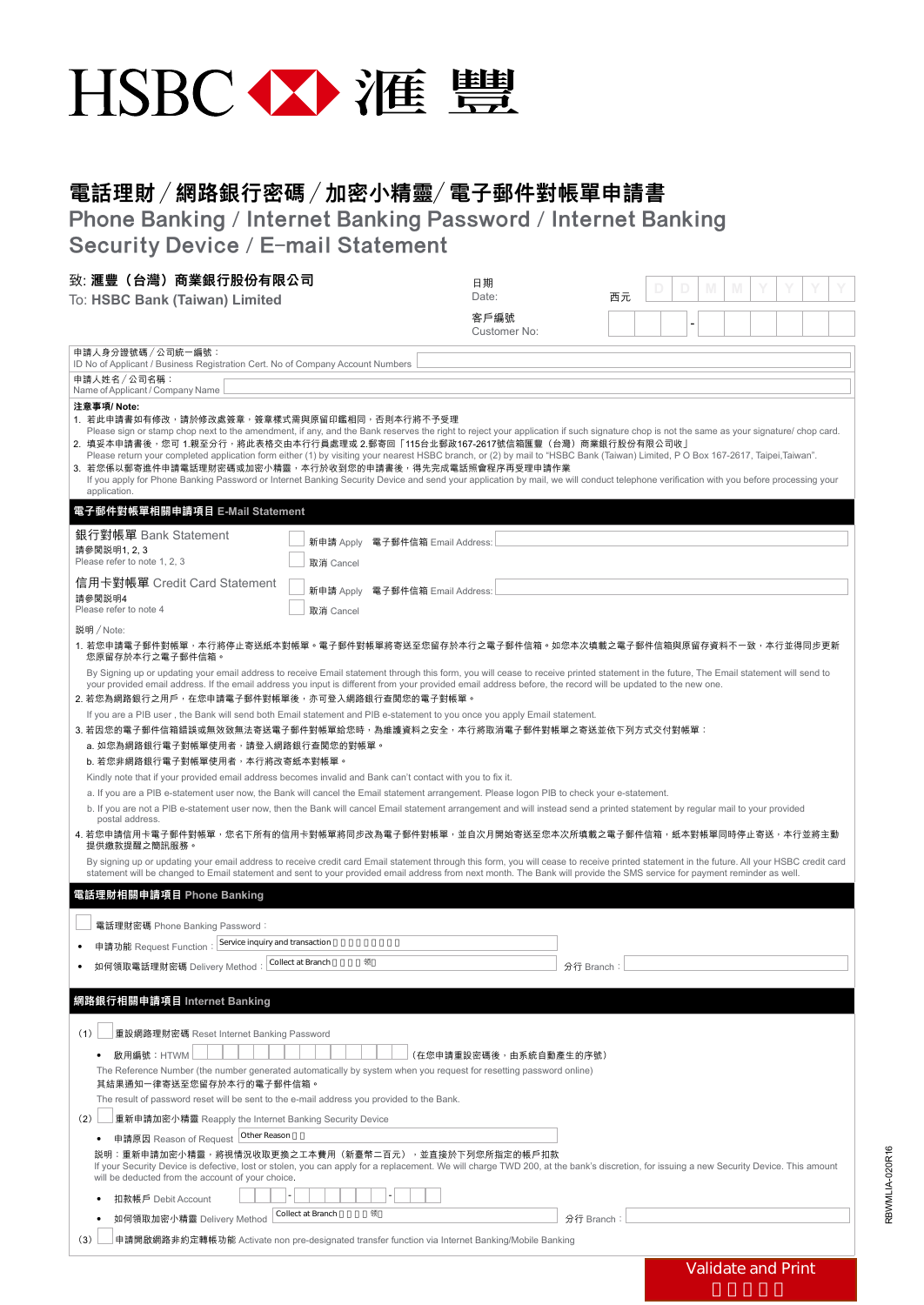

## 電話理財 /網路銀行密碼 /加密小精靈/電子郵件對帳單申請書

Phone Banking / Internet Banking Password / Internet Banking Security Device / E-mail Statement

| 致: 滙豐 (台灣) 商業銀行股份有限公司                                                                                                                                                                                                                                                                                                                                                                                                                                                                                                                                                                                                                                                                                                                                                                        |                   |                                 | 日期                     |    |  |  |  |                           |  |  |  |
|----------------------------------------------------------------------------------------------------------------------------------------------------------------------------------------------------------------------------------------------------------------------------------------------------------------------------------------------------------------------------------------------------------------------------------------------------------------------------------------------------------------------------------------------------------------------------------------------------------------------------------------------------------------------------------------------------------------------------------------------------------------------------------------------|-------------------|---------------------------------|------------------------|----|--|--|--|---------------------------|--|--|--|
| To: HSBC Bank (Taiwan) Limited                                                                                                                                                                                                                                                                                                                                                                                                                                                                                                                                                                                                                                                                                                                                                               |                   |                                 | Date:                  | 西元 |  |  |  |                           |  |  |  |
|                                                                                                                                                                                                                                                                                                                                                                                                                                                                                                                                                                                                                                                                                                                                                                                              |                   |                                 | 客戶編號<br>Customer No:   |    |  |  |  |                           |  |  |  |
| 申請人身分證號碼 / 公司統一編號:<br>ID No of Applicant / Business Registration Cert. No of Company Account Numbers                                                                                                                                                                                                                                                                                                                                                                                                                                                                                                                                                                                                                                                                                         |                   |                                 |                        |    |  |  |  |                           |  |  |  |
| 申請人姓名/公司名稱:                                                                                                                                                                                                                                                                                                                                                                                                                                                                                                                                                                                                                                                                                                                                                                                  |                   |                                 |                        |    |  |  |  |                           |  |  |  |
| Name of Applicant / Company Name<br>注意事項/Note:                                                                                                                                                                                                                                                                                                                                                                                                                                                                                                                                                                                                                                                                                                                                               |                   |                                 |                        |    |  |  |  |                           |  |  |  |
| 1. 若此申請書如有修改,請於修改處簽章,簽章樣式需與原留印鑑相同,否則本行將不予受理<br>Please sign or stamp chop next to the amendment, if any, and the Bank reserves the right to reject your application if such signature chop is not the same as your signature/ chop card.<br>2. 填妥本申請書後 <sup>,</sup> 您可 1.親至分行,將此表格交由本行行員處理或 2.郵寄回「115台北郵政167-2617號信箱匯豐(台灣)商業銀行股份有限公司收」<br>Please return your completed application form either (1) by visiting your nearest HSBC branch, or (2) by mail to "HSBC Bank (Taiwan) Limited, PO Box 167-2617, Taipei, Taiwan".<br>3. 若您係以郵寄進件申請電話理財密碼或加密小精靈,本行於收到您的申請書後,得先完成電話照會程序再受理申請作業<br>If you apply for Phone Banking Password or Internet Banking Security Device and send your application by mail, we will conduct telephone verification with you before processing your<br>application. |                   |                                 |                        |    |  |  |  |                           |  |  |  |
| 電子郵件對帳單相關申請項目 E-Mail Statement                                                                                                                                                                                                                                                                                                                                                                                                                                                                                                                                                                                                                                                                                                                                                               |                   |                                 |                        |    |  |  |  |                           |  |  |  |
| 銀行對帳單 Bank Statement                                                                                                                                                                                                                                                                                                                                                                                                                                                                                                                                                                                                                                                                                                                                                                         |                   | 新申請 Apply 電子郵件信箱 Email Address: |                        |    |  |  |  |                           |  |  |  |
| 請參閱説明1, 2, 3<br>Please refer to note 1, 2, 3                                                                                                                                                                                                                                                                                                                                                                                                                                                                                                                                                                                                                                                                                                                                                 | 取消 Cancel         |                                 |                        |    |  |  |  |                           |  |  |  |
| 信用卡對帳單 Credit Card Statement                                                                                                                                                                                                                                                                                                                                                                                                                                                                                                                                                                                                                                                                                                                                                                 | 新申請 Apply         | 電子郵件信箱 Email Address:           |                        |    |  |  |  |                           |  |  |  |
| 請參閱説明4<br>Please refer to note 4<br>取消 Cancel                                                                                                                                                                                                                                                                                                                                                                                                                                                                                                                                                                                                                                                                                                                                                |                   |                                 |                        |    |  |  |  |                           |  |  |  |
| 説明 / Note:                                                                                                                                                                                                                                                                                                                                                                                                                                                                                                                                                                                                                                                                                                                                                                                   |                   |                                 |                        |    |  |  |  |                           |  |  |  |
| 1. 若您申請電子郵件對帳單,本行將停止寄送紙本對帳單。電子郵件對帳單將寄送至您留存於本行之電子郵件信箱。如您本次填載之電子郵件信箱與原留存資料不一致,本行並得同步更新<br>您原留存於本行之電子郵件信箱。                                                                                                                                                                                                                                                                                                                                                                                                                                                                                                                                                                                                                                                                                      |                   |                                 |                        |    |  |  |  |                           |  |  |  |
| By Signing up or updating your email address to receive Email statement through this form, you will cease to receive printed statement in the future. The Email statement will send to<br>your provided email address. If the email address you input is different from your provided email address before, the record will be updated to the new one.<br>2. 若您為網路銀行之用戶,在您申請電子郵件對帳單後,亦可登入網路銀行查閱您的電子對帳單。                                                                                                                                                                                                                                                                                                                                                                                      |                   |                                 |                        |    |  |  |  |                           |  |  |  |
| If you are a PIB user, the Bank will send both Email statement and PIB e-statement to you once you apply Email statement.                                                                                                                                                                                                                                                                                                                                                                                                                                                                                                                                                                                                                                                                    |                   |                                 |                        |    |  |  |  |                           |  |  |  |
| 3. 若因您的電子郵件信箱錯誤或無效致無法寄送電子郵件對帳單給您時,為維護資料之安全,本行將取消電子郵件對帳單之寄送並依下列方式交付對帳單:<br>a. 如您為網路銀行電子對帳單使用者,請登入網路銀行查閲您的對帳單。<br>b. 若您非網路銀行電子對帳單使用者,本行將改寄紙本對帳單。                                                                                                                                                                                                                                                                                                                                                                                                                                                                                                                                                                                                                                               |                   |                                 |                        |    |  |  |  |                           |  |  |  |
| Kindly note that if your provided email address becomes invalid and Bank can't contact with you to fix it.                                                                                                                                                                                                                                                                                                                                                                                                                                                                                                                                                                                                                                                                                   |                   |                                 |                        |    |  |  |  |                           |  |  |  |
| a. If you are a PIB e-statement user now, the Bank will cancel the Email statement arrangement. Please logon PIB to check your e-statement.<br>b. If you are not a PIB e-statement user now, then the Bank will cancel Email statement arrangement and will instead send a printed statement by regular mail to your provided<br>postal address.                                                                                                                                                                                                                                                                                                                                                                                                                                             |                   |                                 |                        |    |  |  |  |                           |  |  |  |
| 4. 若您申請信用卡電子郵件對帳單,您名下所有的信用卡對帳單將同步改為電子郵件對帳單,並自次月開始寄送至您本次所填載之電子郵件信箱,紙本對帳單同時停止寄送,本行並將主動<br>提供繳款提醒之簡訊服務。                                                                                                                                                                                                                                                                                                                                                                                                                                                                                                                                                                                                                                                                                         |                   |                                 |                        |    |  |  |  |                           |  |  |  |
| By signing up or updating your email address to receive credit card Email statement through this form, you will cease to receive printed statement in the future. All your HSBC credit card<br>statement will be changed to Email statement and sent to your provided email address from next month. The Bank will provide the SMS service for payment reminder as well.                                                                                                                                                                                                                                                                                                                                                                                                                     |                   |                                 |                        |    |  |  |  |                           |  |  |  |
| 電話理財相關申請項目 Phone Banking                                                                                                                                                                                                                                                                                                                                                                                                                                                                                                                                                                                                                                                                                                                                                                     |                   |                                 |                        |    |  |  |  |                           |  |  |  |
| 電話理財密碼 Phone Banking Password:                                                                                                                                                                                                                                                                                                                                                                                                                                                                                                                                                                                                                                                                                                                                                               |                   |                                 |                        |    |  |  |  |                           |  |  |  |
| Service inquiry and transaction<br>申請功能 Request Function:                                                                                                                                                                                                                                                                                                                                                                                                                                                                                                                                                                                                                                                                                                                                    |                   |                                 |                        |    |  |  |  |                           |  |  |  |
| 如何領取電話理財密碼 Delivery Method                                                                                                                                                                                                                                                                                                                                                                                                                                                                                                                                                                                                                                                                                                                                                                   | Collect at Branch | 领                               | 分行 Branch              |    |  |  |  |                           |  |  |  |
| 網路銀行相關申請項目 Internet Banking                                                                                                                                                                                                                                                                                                                                                                                                                                                                                                                                                                                                                                                                                                                                                                  |                   |                                 |                        |    |  |  |  |                           |  |  |  |
| 重設網路理財密碼 Reset Internet Banking Password<br>(1)                                                                                                                                                                                                                                                                                                                                                                                                                                                                                                                                                                                                                                                                                                                                              |                   |                                 |                        |    |  |  |  |                           |  |  |  |
| 啟用編號: HTWM<br>$\bullet$                                                                                                                                                                                                                                                                                                                                                                                                                                                                                                                                                                                                                                                                                                                                                                      |                   |                                 | (在您申請重設密碼後,由系統自動產生的序號) |    |  |  |  |                           |  |  |  |
| The Reference Number (the number generated automatically by system when you request for resetting password online)<br>其結果通知一律寄送至您留存於本行的電子郵件信箱。                                                                                                                                                                                                                                                                                                                                                                                                                                                                                                                                                                                                                                               |                   |                                 |                        |    |  |  |  |                           |  |  |  |
| The result of password reset will be sent to the e-mail address you provided to the Bank.                                                                                                                                                                                                                                                                                                                                                                                                                                                                                                                                                                                                                                                                                                    |                   |                                 |                        |    |  |  |  |                           |  |  |  |
| (2)<br>重新申請加密小精靈 Reapply the Internet Banking Security Device<br>O ther Reason                                                                                                                                                                                                                                                                                                                                                                                                                                                                                                                                                                                                                                                                                                               |                   |                                 |                        |    |  |  |  |                           |  |  |  |
| 申請原因 Reason of Request<br>説明:重新申請加密小精靈,將視情況收取更換之工本費用(新臺幣二百元),並直接於下列您所指定的帳戶扣款                                                                                                                                                                                                                                                                                                                                                                                                                                                                                                                                                                                                                                                                                                                 |                   |                                 |                        |    |  |  |  |                           |  |  |  |
| If your Security Device is defective, lost or stolen, you can apply for a replacement. We will charge TWD 200, at the bank's discretion, for issuing a new Security Device. This amount<br>will be deducted from the account of your choice.                                                                                                                                                                                                                                                                                                                                                                                                                                                                                                                                                 |                   |                                 |                        |    |  |  |  |                           |  |  |  |
| 扣款帳戶 Debit Account                                                                                                                                                                                                                                                                                                                                                                                                                                                                                                                                                                                                                                                                                                                                                                           |                   |                                 |                        |    |  |  |  |                           |  |  |  |
| 如何領取加密小精靈 Delivery Method                                                                                                                                                                                                                                                                                                                                                                                                                                                                                                                                                                                                                                                                                                                                                                    | Collect at Branch | 领                               | 分行 Branch              |    |  |  |  |                           |  |  |  |
| 申請開啟網路非約定轉帳功能 Activate non pre-designated transfer function via Internet Banking/Mobile Banking<br>(3)                                                                                                                                                                                                                                                                                                                                                                                                                                                                                                                                                                                                                                                                                       |                   |                                 |                        |    |  |  |  |                           |  |  |  |
|                                                                                                                                                                                                                                                                                                                                                                                                                                                                                                                                                                                                                                                                                                                                                                                              |                   |                                 |                        |    |  |  |  | <b>Validate and Print</b> |  |  |  |

RBWMLIA-020R16 RBWMLIA-020R16